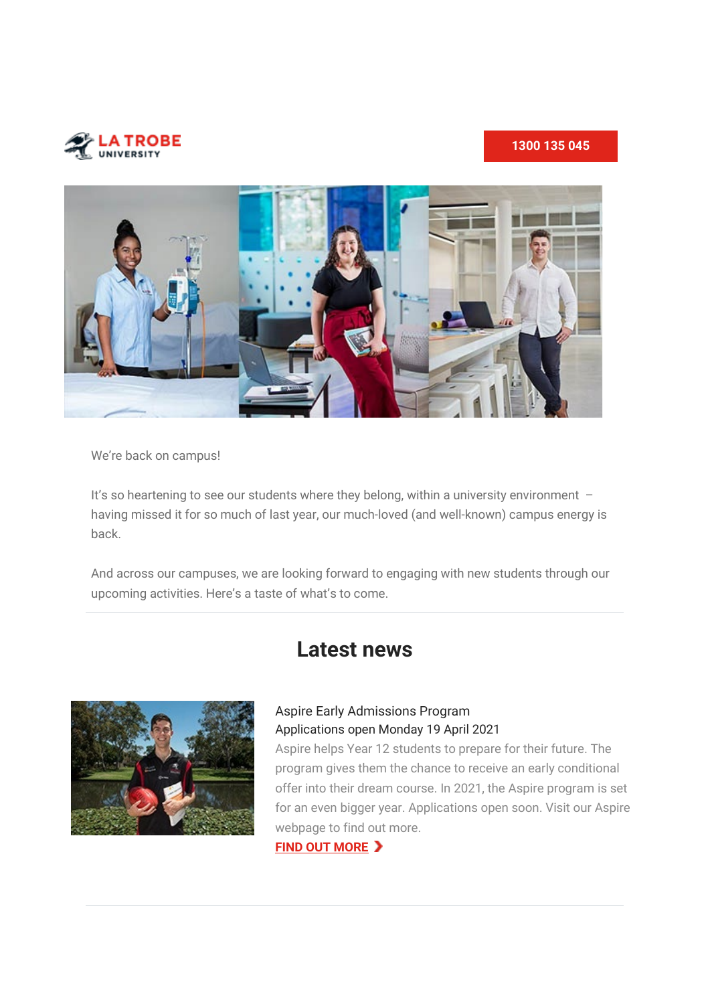

### **[1300 135 045](tel:1300135045)**



We're back on campus!

It's so heartening to see our students where they belong, within a university environment having missed it for so much of last year, our much-loved (and well-known) campus energy is back.

And across our campuses, we are looking forward to engaging with new students through our upcoming activities. Here's a taste of what's to come.



# **Latest news**

### Aspire Early Admissions Program Applications open Monday 19 April 2021

Aspire helps Year 12 students to prepare for their future. The program gives them the chance to receive an early conditional offer into their dream course. In 2021, the Aspire program is set for an even bigger year. Applications open soon. Visit our Aspire webpage to find out more.

**[FIND OUT MORE](https://t.email.latrobe.edu.au/r/?id=hc2e689%2C29f4e7f%2C29f7505&cid=&s=40s_iCz-JxiJxZT-5kwqQu9BFs1DfRi5-MDYaZeo3wI)**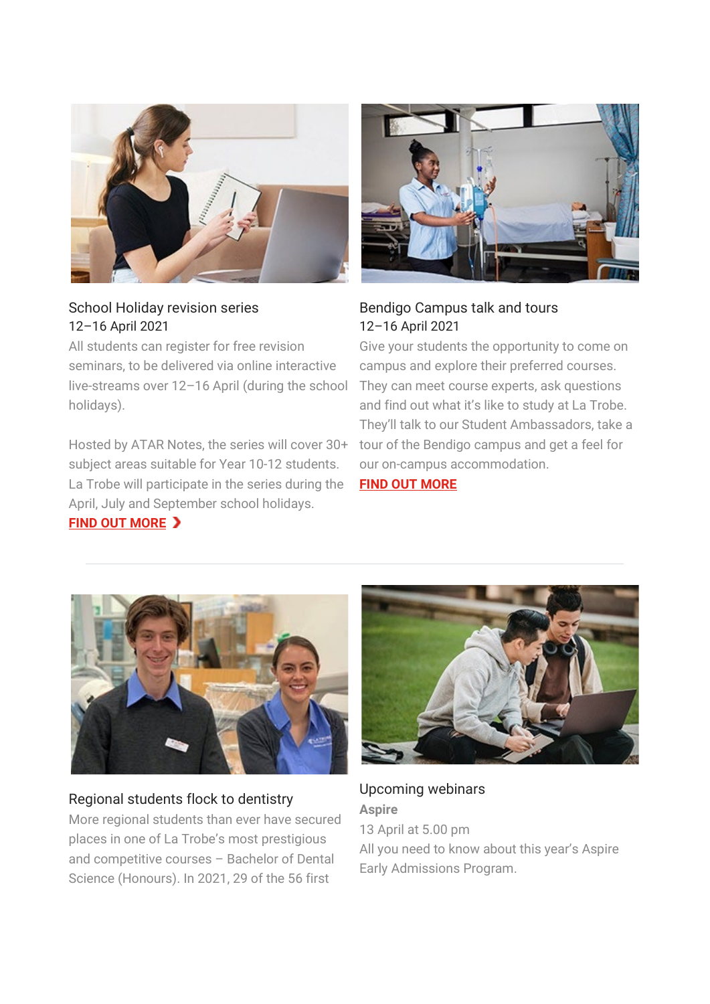

## School Holiday revision series 12–16 April 2021

All students can register for free revision seminars, to be delivered via online interactive live-streams over 12–16 April (during the school holidays).

Hosted by ATAR Notes, the series will cover 30+ subject areas suitable for Year 10-12 students. La Trobe will participate in the series during the April, July and September school holidays.

### **[FIND OUT MORE](https://t.email.latrobe.edu.au/r/?id=hc2e689%2C29f4e7f%2C29f7507&cid=&s=Nfv2fklNm1yuAoiwPAelj_2BS2HnxNKxj7_MSZI9wdk)**



# Bendigo Campus talk and tours 12–16 April 2021

Give your students the opportunity to come on campus and explore their preferred courses. They can meet course experts, ask questions and find out what it's like to study at La Trobe. They'll talk to our Student Ambassadors, take a tour of the Bendigo campus and get a feel for our on-campus accommodation.

### **[FIND OUT MORE](https://t.email.latrobe.edu.au/r/?id=hc2e689%2C29f4e7f%2C29f7509&cid=&s=8zAS_tT9LOs2Vw2BQ3X4tXwJb-4j_D0MqNd7J6HU_c8)**



### Regional students flock to dentistry

More regional students than ever have secured places in one of La Trobe's most prestigious and competitive courses – Bachelor of Dental Science (Honours). In 2021, 29 of the 56 first



Upcoming webinars **Aspire** 13 April at 5.00 pm All you need to know about this year's Aspire Early Admissions Program.